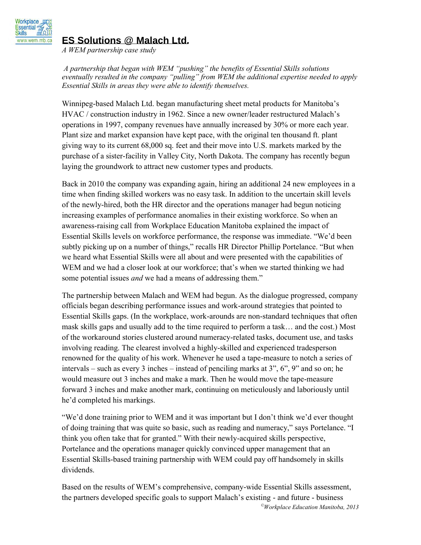

## **ES Solutions** @ **Malach Ltd.**

*A WEM partnership case study* 

*A partnership that began with WEM "pushing" the benefits of Essential Skills solutions eventually resulted in the company "pulling" from WEM the additional expertise needed to apply Essential Skills in areas they were able to identify themselves.* 

Winnipeg-based Malach Ltd. began manufacturing sheet metal products for Manitoba's HVAC / construction industry in 1962. Since a new owner/leader restructured Malach's operations in 1997, company revenues have annually increased by 30% or more each year. Plant size and market expansion have kept pace, with the original ten thousand ft. plant giving way to its current 68,000 sq. feet and their move into U.S. markets marked by the purchase of a sister-facility in Valley City, North Dakota. The company has recently begun laying the groundwork to attract new customer types and products.

Back in 2010 the company was expanding again, hiring an additional 24 new employees in a time when finding skilled workers was no easy task. In addition to the uncertain skill levels of the newly-hired, both the HR director and the operations manager had begun noticing increasing examples of performance anomalies in their existing workforce. So when an awareness-raising call from Workplace Education Manitoba explained the impact of Essential Skills levels on workforce performance, the response was immediate. "We'd been subtly picking up on a number of things," recalls HR Director Phillip Portelance. "But when we heard what Essential Skills were all about and were presented with the capabilities of WEM and we had a closer look at our workforce; that's when we started thinking we had some potential issues *and* we had a means of addressing them."

The partnership between Malach and WEM had begun. As the dialogue progressed, company officials began describing performance issues and work-around strategies that pointed to Essential Skills gaps. (In the workplace, work-arounds are non-standard techniques that often mask skills gaps and usually add to the time required to perform a task… and the cost.) Most of the workaround stories clustered around numeracy-related tasks, document use, and tasks involving reading. The clearest involved a highly-skilled and experienced tradesperson renowned for the quality of his work. Whenever he used a tape-measure to notch a series of intervals – such as every 3 inches – instead of penciling marks at 3", 6", 9" and so on; he would measure out 3 inches and make a mark. Then he would move the tape-measure forward 3 inches and make another mark, continuing on meticulously and laboriously until he'd completed his markings.

"We'd done training prior to WEM and it was important but I don't think we'd ever thought of doing training that was quite so basic, such as reading and numeracy," says Portelance. "I think you often take that for granted." With their newly-acquired skills perspective, Portelance and the operations manager quickly convinced upper management that an Essential Skills-based training partnership with WEM could pay off handsomely in skills dividends.

*©Workplace Education Manitoba, 2013*  Based on the results of WEM's comprehensive, company-wide Essential Skills assessment, the partners developed specific goals to support Malach's existing - and future - business